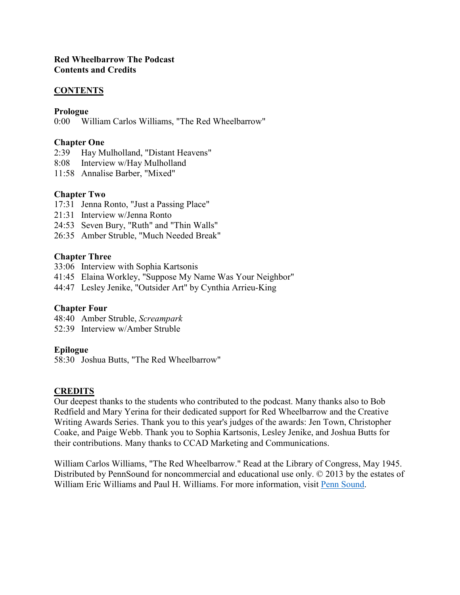## **Red Wheelbarrow The Podcast Contents and Credits**

## **CONTENTS**

#### **Prologue**

0:00 William Carlos Williams, "The Red Wheelbarrow"

### **Chapter One**

- 2:39 Hay Mulholland, "Distant Heavens"
- 8:08 Interview w/Hay Mulholland
- 11:58 Annalise Barber, "Mixed"

# **Chapter Two**

- 17:31 Jenna Ronto, "Just a Passing Place"
- 21:31 Interview w/Jenna Ronto
- 24:53 Seven Bury, "Ruth" and "Thin Walls"
- 26:35 Amber Struble, "Much Needed Break"

## **Chapter Three**

- 33:06 Interview with Sophia Kartsonis
- 41:45 Elaina Workley, "Suppose My Name Was Your Neighbor"
- 44:47 Lesley Jenike, "Outsider Art" by Cynthia Arrieu-King

# **Chapter Four**

48:40 Amber Struble, *Screampark* 52:39 Interview w/Amber Struble

#### **Epilogue**

58:30 Joshua Butts, "The Red Wheelbarrow"

#### **CREDITS**

Our deepest thanks to the students who contributed to the podcast. Many thanks also to Bob Redfield and Mary Yerina for their dedicated support for Red Wheelbarrow and the Creative Writing Awards Series. Thank you to this year's judges of the awards: Jen Town, Christopher Coake, and Paige Webb. Thank you to Sophia Kartsonis, Lesley Jenike, and Joshua Butts for their contributions. Many thanks to CCAD Marketing and Communications.

William Carlos Williams, "The Red Wheelbarrow." Read at the Library of Congress, May 1945. Distributed by PennSound for noncommercial and educational use only. © 2013 by the estates of William Eric Williams and Paul H. Williams. For more information, visit [Penn Sound.](http://writing.upenn.edu/pennsound/x/Williams-WC/the_red_wheelbarrow_multiple.php)